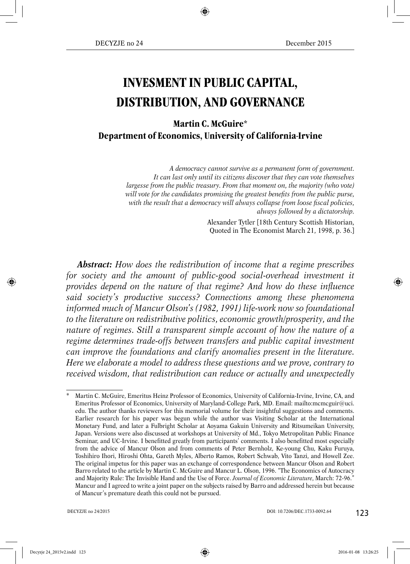# **INVESMENT IN PUBLIC CAPITAL, DISTRIBUTION, AND GOVERNANCE**

**Martin C. McGuire\* Department of Economics, University of California-Irvine**

> *A democracy cannot survive as a permanent form of government. It can last only until its citizens discover that they can vote themselves largesse from the public treasury. From that moment on, the majority (who vote)* will vote for the candidates promising the greatest benefits from the public purse, with the result that a democracy will always collapse from loose fiscal policies, *always followed by a dictatorship.*

> > Alexander Tytler [18th Century Scottish Historian, Quoted in The Economist March 21, 1998, p. 36.]

*Abstract: How does the redistribution of income that a regime prescribes for society and the amount of public-good social-overhead investment it provides depend on the nature of that regime? And how do these influence said society's productive success? Connections among these phenomena informed much of Mancur Olson's (1982, 1991) life-work now so foundational to the literature on redistributive politics, economic growth/prosperity, and the nature of regimes. Still a transparent simple account of how the nature of a regime determines trade-offs between transfers and public capital investment can improve the foundations and clarify anomalies present in the literature. Here we elaborate a model to address these questions and we prove, contrary to received wisdom, that redistribution can reduce or actually and unexpectedly*

<sup>\*</sup> Martin C. McGuire, Emeritus Heinz Professor of Economics, University of California-Irvine, Irvine, CA, and Emeritus Professor of Economics, University of Maryland-College Park, MD. Email: mailto:mcmcguir@uci. edu. The author thanks reviewers for this memorial volume for their insightful suggestions and comments. Earlier research for his paper was begun while the author was Visiting Scholar at the International Monetary Fund, and later a Fulbright Scholar at Aoyama Gakuin University and Ritsumeikan University, Japan. Versions were also discussed at workshops at University of Md., Tokyo Metropolitan Public Finance Seminar, and UC-Irvine. I benefitted greatly from participants' comments. I also benefitted most especially from the advice of Mancur Olson and from comments of Peter Bernholz, Ke-young Chu, Kaku Furuya, Toshihiro Ihori, Hiroshi Ohta, Gareth Myles, Alberto Ramos, Robert Schwab, Vito Tanzi, and Howell Zee. The original impetus for this paper was an exchange of correspondence between Mancur Olson and Robert Barro related to the article by Martin C. McGuire and Mancur L. Olson, 1996. "The Economics of Autocracy and Majority Rule: The Invisible Hand and the Use of Force. *Journal of Economic Literature*, March: 72-96." Mancur and I agreed to write a joint paper on the subjects raised by Barro and addressed herein but because of Mancur's premature death this could not be pursued.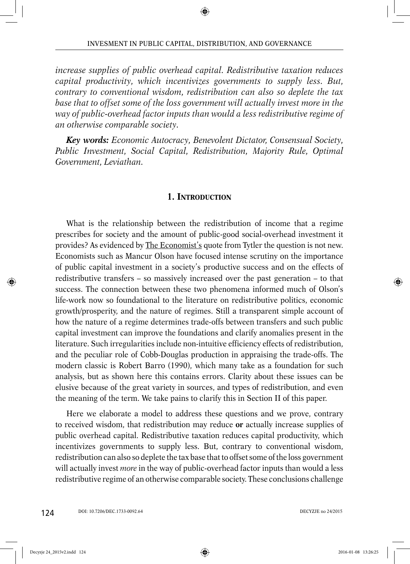*increase supplies of public overhead capital. Redistributive taxation reduces capital productivity, which incentivizes governments to supply less. But, contrary to conventional wisdom, redistribution can also so deplete the tax*  base that to offset some of the loss government will actually invest more in the *way of public-overhead factor inputs than would a less redistributive regime of an otherwise comparable society.*

*Key words: Economic Autocracy, Benevolent Dictator, Consensual Society, Public Investment, Social Capital, Redistribution, Majority Rule, Optimal Government, Leviathan.*

## **1. INTRODUCTION**

What is the relationship between the redistribution of income that a regime prescribes for society and the amount of public-good social-overhead investment it provides? As evidenced by The Economist's quote from Tytler the question is not new. Economists such as Mancur Olson have focused intense scrutiny on the importance of public capital investment in a society's productive success and on the effects of redistributive transfers – so massively increased over the past generation – to that success. The connection between these two phenomena informed much of Olson's life-work now so foundational to the literature on redistributive politics, economic growth/prosperity, and the nature of regimes. Still a transparent simple account of how the nature of a regime determines trade-offs between transfers and such public capital investment can improve the foundations and clarify anomalies present in the literature. Such irregularities include non-intuitive efficiency effects of redistribution, and the peculiar role of Cobb-Douglas production in appraising the trade-offs. The modern classic is Robert Barro (1990), which many take as a foundation for such analysis, but as shown here this contains errors. Clarity about these issues can be elusive because of the great variety in sources, and types of redistribution, and even the meaning of the term. We take pains to clarify this in Section II of this paper.

Here we elaborate a model to address these questions and we prove, contrary to received wisdom, that redistribution may reduce **or** actually increase supplies of public overhead capital. Redistributive taxation reduces capital productivity, which incentivizes governments to supply less. But, contrary to conventional wisdom, redistribution can also so deplete the tax base that to offset some of the loss government will actually invest *more* in the way of public-overhead factor inputs than would a less redistributive regime of an otherwise comparable society. These conclusions challenge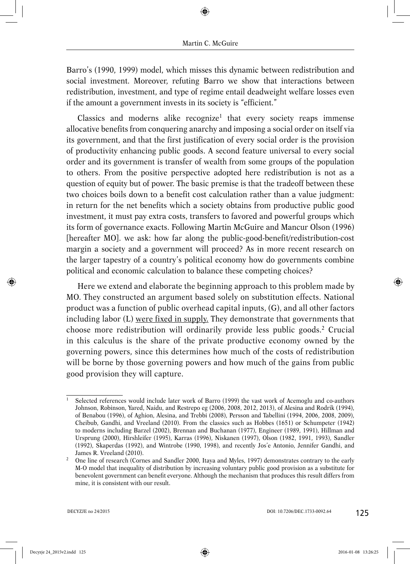Barro's (1990, 1999) model, which misses this dynamic between redistribution and social investment. Moreover, refuting Barro we show that interactions between redistribution, investment, and type of regime entail deadweight welfare losses even if the amount a government invests in its society is "efficient."

Classics and moderns alike recognize<sup>1</sup> that every society reaps immense allocative benefits from conquering anarchy and imposing a social order on itself via its government, and that the first justification of every social order is the provision of productivity enhancing public goods. A second feature universal to every social order and its government is transfer of wealth from some groups of the population to others. From the positive perspective adopted here redistribution is not as a question of equity but of power. The basic premise is that the tradeoff between these two choices boils down to a benefit cost calculation rather than a value judgment: in return for the net benefits which a society obtains from productive public good investment, it must pay extra costs, transfers to favored and powerful groups which its form of governance exacts. Following Martin McGuire and Mancur Olson (1996) [hereafter MO]. we ask: how far along the public-good-benefit/redistribution-cost margin a society and a government will proceed? As in more recent research on the larger tapestry of a country's political economy how do governments combine political and economic calculation to balance these competing choices?

Here we extend and elaborate the beginning approach to this problem made by MO. They constructed an argument based solely on substitution effects. National product was a function of public overhead capital inputs, (G), and all other factors including labor (L) were fixed in supply. They demonstrate that governments that choose more redistribution will ordinarily provide less public goods.2 Crucial in this calculus is the share of the private productive economy owned by the governing powers, since this determines how much of the costs of redistribution will be borne by those governing powers and how much of the gains from public good provision they will capture.

<sup>1</sup> Selected references would include later work of Barro (1999) the vast work of Acemoglu and co-authors Johnson, Robinson, Yared, Naidu, and Restrepo eg (2006, 2008, 2012, 2013), of Alesina and Rodrik (1994), of Benabou (1996), of Aghion, Alesina, and Trebbi (2008), Persson and Tabellini (1994, 2006, 2008, 2009), Cheibub, Gandhi, and Vreeland (2010). From the classics such as Hobbes (1651) or Schumpeter (1942) to moderns including Barzel (2002), Brennan and Buchanan (1977), Engineer (1989, 1991), Hillman and Ursprung (2000), Hirshleifer (1995), Karras (1996), Niskanen (1997), Olson (1982, 1991, 1993), Sandler (1992), Skaperdas (1992), and Wintrobe (1990, 1998), and recently Jos'e Antonio, Jennifer Gandhi, and James R. Vreeland (2010).

<sup>&</sup>lt;sup>2</sup> One line of research (Cornes and Sandler 2000, Itaya and Myles, 1997) demonstrates contrary to the early M-O model that inequality of distribution by increasing voluntary public good provision as a substitute for benevolent government can benefi t everyone. Although the mechanism that produces this result differs from mine, it is consistent with our result.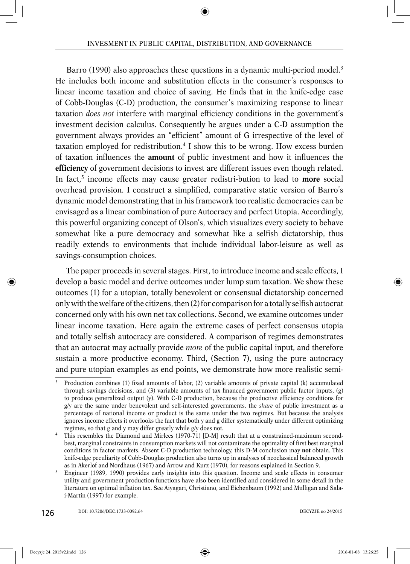Barro (1990) also approaches these questions in a dynamic multi-period model.3 He includes both income and substitution effects in the consumer's responses to linear income taxation and choice of saving. He finds that in the knife-edge case of Cobb-Douglas (C-D) production, the consumer's maximizing response to linear taxation *does not* interfere with marginal efficiency conditions in the government's investment decision calculus. Consequently he argues under a C-D assumption the government always provides an "efficient" amount of G irrespective of the level of taxation employed for redistribution.4 I show this to be wrong. How excess burden of taxation influences the **amount** of public investment and how it influences the **efficiency** of government decisions to invest are different issues even though related. In fact,<sup>5</sup> income effects may cause greater redistri-bution to lead to **more** social overhead provision. I construct a simplified, comparative static version of Barro's dynamic model demonstrating that in his framework too realistic democracies can be envisaged as a linear combination of pure Autocracy and perfect Utopia. Accordingly, this powerful organizing concept of Olson's, which visualizes every society to behave somewhat like a pure democracy and somewhat like a selfish dictatorship, thus readily extends to environments that include individual labor-leisure as well as savings-consumption choices.

The paper proceeds in several stages. First, to introduce income and scale effects, I develop a basic model and derive outcomes under lump sum taxation. We show these outcomes (1) for a utopian, totally benevolent or consensual dictatorship concerned only with the welfare of the citizens, then (2) for comparison for a totally selfish autocrat concerned only with his own net tax collections. Second, we examine outcomes under linear income taxation. Here again the extreme cases of perfect consensus utopia and totally selfish autocracy are considered. A comparison of regimes demonstrates that an autocrat may actually provide *more* of the public capital input, and therefore sustain a more productive economy. Third, (Section 7), using the pure autocracy and pure utopian examples as end points, we demonstrate how more realistic semi-

Production combines (1) fixed amounts of labor, (2) variable amounts of private capital (k) accumulated through savings decisions, and (3) variable amounts of tax financed government public factor inputs, (g) to produce generalized output (y). With C-D production, because the productive efficiency conditions for g/y are the same under benevolent and self-interested governments, the *share* of public investment as a percentage of national income or product is the same under the two regimes. But because the analysis ignores income effects it overlooks the fact that both y and g differ systematically under different optimizing regimes, so that g and y may differ greatly while g/y does not.

<sup>4</sup> This resembles the Diamond and Mirlees (1970-71) [D-M] result that at a constrained-maximum secondbest, marginal constraints in consumption markets will not contaminate the optimality of first best marginal conditions in factor markets. Absent C-D production technology, this D-M conclusion may **not** obtain. This knife-edge peculiarity of Cobb-Douglas production also turns up in analyses of neoclassical balanced growth as in Akerlof and Nordhaus (1967) and Arrow and Kurz (1970), for reasons explained in Section 9.

<sup>5</sup> Engineer (1989, 1990) provides early insights into this question. Income and scale effects in consumer utility and government production functions have also been identified and considered in some detail in the literature on optimal inflation tax. See Aiyagari, Christiano, and Eichenbaum (1992) and Mulligan and Salai-Martin (1997) for example.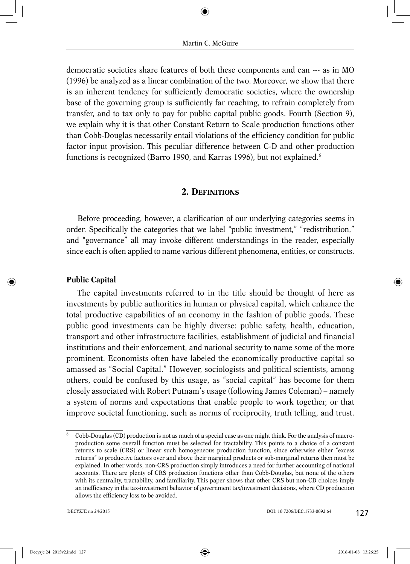democratic societies share features of both these components and can --- as in MO (1996) be analyzed as a linear combination of the two. Moreover, we show that there is an inherent tendency for sufficiently democratic societies, where the ownership base of the governing group is sufficiently far reaching, to refrain completely from transfer, and to tax only to pay for public capital public goods. Fourth (Section 9), we explain why it is that other Constant Return to Scale production functions other than Cobb-Douglas necessarily entail violations of the efficiency condition for public factor input provision. This peculiar difference between C-D and other production functions is recognized (Barro 1990, and Karras 1996), but not explained.<sup>6</sup>

## **2. DEFINITIONS**

Before proceeding, however, a clarification of our underlying categories seems in order. Specifically the categories that we label "public investment," "redistribution," and "governance" all may invoke different understandings in the reader, especially since each is often applied to name various different phenomena, entities, or constructs.

## **Public Capital**

The capital investments referred to in the title should be thought of here as investments by public authorities in human or physical capital, which enhance the total productive capabilities of an economy in the fashion of public goods. These public good investments can be highly diverse: public safety, health, education, transport and other infrastructure facilities, establishment of judicial and financial institutions and their enforcement, and national security to name some of the more prominent. Economists often have labeled the economically productive capital so amassed as "Social Capital." However, sociologists and political scientists, among others, could be confused by this usage, as "social capital" has become for them closely associated with Robert Putnam's usage (following James Coleman) – namely a system of norms and expectations that enable people to work together, or that improve societal functioning, such as norms of reciprocity, truth telling, and trust.

<sup>6</sup> Cobb-Douglas (CD) production is not as much of a special case as one might think. For the analysis of macroproduction some overall function must be selected for tractability. This points to a choice of a constant returns to scale (CRS) or linear such homogeneous production function, since otherwise either "excess returns" to productive factors over and above their marginal products or sub-marginal returns then must be explained. In other words, non-CRS production simply introduces a need for further accounting of national accounts. There are plenty of CRS production functions other than Cobb-Douglas, but none of the others with its centrality, tractability, and familiarity. This paper shows that other CRS but non-CD choices imply an inefficiency in the tax-investment behavior of government tax/investment decisions, where CD production allows the efficiency loss to be avoided.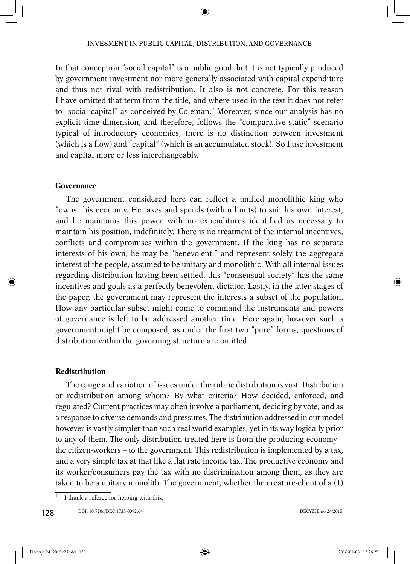In that conception "social capital" is a public good, but it is not typically produced by government investment nor more generally associated with capital expenditure and thus not rival with redistribution. It also is not concrete. For this reason I have omitted that term from the title, and where used in the text it does not refer to "social capital" as conceived by Coleman.7 Moreover, since our analysis has no explicit time dimension, and therefore, follows the "comparative static" scenario typical of introductory economics, there is no distinction between investment (which is a flow) and "capital" (which is an accumulated stock). So I use investment and capital more or less interchangeably.

## **Governance**

The government considered here can reflect a unified monolithic king who "owns" his economy. He taxes and spends (within limits) to suit his own interest, and he maintains this power with no expenditures identified as necessary to maintain his position, indefinitely. There is no treatment of the internal incentives, conflicts and compromises within the government. If the king has no separate interests of his own, he may be "benevolent," and represent solely the aggregate interest of the people, assumed to be unitary and monolithic. With all internal issues regarding distribution having been settled, this "consensual society" has the same incentives and goals as a perfectly benevolent dictator. Lastly, in the later stages of the paper, the government may represent the interests a subset of the population. How any particular subset might come to command the instruments and powers of governance is left to be addressed another time. Here again, however such a government might be composed, as under the first two "pure" forms, questions of distribution within the governing structure are omitted.

## **Redistribution**

The range and variation of issues under the rubric distribution is vast. Distribution or redistribution among whom? By what criteria? How decided, enforced, and regulated? Current practices may often involve a parliament, deciding by vote, and as a response to diverse demands and pressures. The distribution addressed in our model however is vastly simpler than such real world examples, yet in its way logically prior to any of them. The only distribution treated here is from the producing economy – the citizen-workers – to the government. This redistribution is implemented by a tax, and a very simple tax at that like a flat rate income tax. The productive economy and its worker/consumers pay the tax with no discrimination among them, as they are taken to be a unitary monolith. The government, whether the creature-client of a (1)

<sup>7</sup> I thank a referee for helping with this.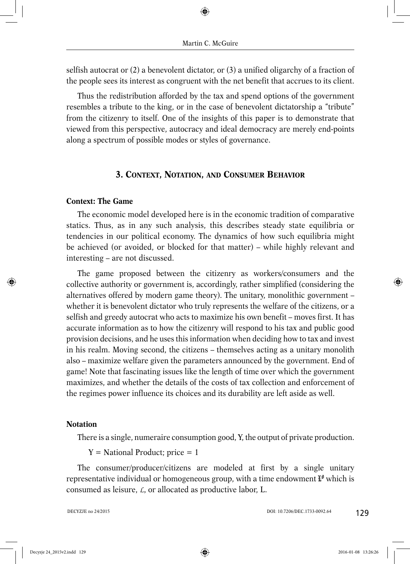selfish autocrat or (2) a benevolent dictator, or (3) a unified oligarchy of a fraction of the people sees its interest as congruent with the net benefit that accrues to its client.

Thus the redistribution afforded by the tax and spend options of the government resembles a tribute to the king, or in the case of benevolent dictatorship a "tribute" from the citizenry to itself. One of the insights of this paper is to demonstrate that viewed from this perspective, autocracy and ideal democracy are merely end-points along a spectrum of possible modes or styles of governance.

## **3. CONTEXT, NOTATION, AND CONSUMER BEHAVIOR**

## **Context: The Game**

The economic model developed here is in the economic tradition of comparative statics. Thus, as in any such analysis, this describes steady state equilibria or tendencies in our political economy. The dynamics of how such equilibria might be achieved (or avoided, or blocked for that matter) – while highly relevant and interesting – are not discussed.

The game proposed between the citizenry as workers/consumers and the collective authority or government is, accordingly, rather simplified (considering the alternatives offered by modern game theory). The unitary, monolithic government – whether it is benevolent dictator who truly represents the welfare of the citizens, or a selfish and greedy autocrat who acts to maximize his own benefit – moves first. It has accurate information as to how the citizenry will respond to his tax and public good provision decisions, and he uses this information when deciding how to tax and invest in his realm. Moving second, the citizens – themselves acting as a unitary monolith also – maximize welfare given the parameters announced by the government. End of game! Note that fascinating issues like the length of time over which the government maximizes, and whether the details of the costs of tax collection and enforcement of the regimes power influence its choices and its durability are left aside as well.

## **Notation**

There is a single, numeraire consumption good, Y, the output of private production.

 $Y = National Product; price = 1$ 

The consumer/producer/citizens are modeled at first by a single unitary representative individual or homogeneous group, with a time endowment  $\mathbf{L}^{\mathbf{\theta}}$  which is consumed as leisure, *L*, or allocated as productive labor, L.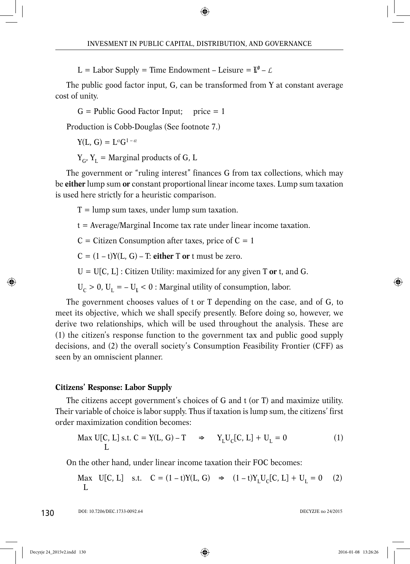L = Labor Supply = Time Endowment – Leisure =  $\mathbf{I}^{\mathbf{0}}$  –  $\mathbf{\mathcal{L}}$ 

The public good factor input, G, can be transformed from Y at constant average cost of unity.

 $G =$  Public Good Factor Input; price  $= 1$ 

Production is Cobb-Douglas (See footnote 7.)

 $Y(L, G) = L^{\alpha}G^{1-\alpha}$ 

 $Y_G, Y_I$  = Marginal products of G, L

The government or "ruling interest" finances G from tax collections, which may be **either** lump sum **or** constant proportional linear income taxes. Lump sum taxation is used here strictly for a heuristic comparison.

 $T =$  lump sum taxes, under lump sum taxation.

t = Average/Marginal Income tax rate under linear income taxation.

 $C =$  Citizen Consumption after taxes, price of  $C = 1$ 

 $C = (1 - t)Y(L, G) - T$ : **either** T **or** *t* must be zero.

 $U = U[C, L]$ : Citizen Utility: maximized for any given T or t, and G.

 $U_C > 0$ ,  $U_L = -U_L < 0$  : Marginal utility of consumption, labor.

The government chooses values of t or T depending on the case, and of G, to meet its objective, which we shall specify presently. Before doing so, however, we derive two relationships, which will be used throughout the analysis. These are (1) the citizen's response function to the government tax and public good supply decisions, and (2) the overall society's Consumption Feasibility Frontier (CFF) as seen by an omniscient planner.

## **Citizens' Response: Labor Supply**

The citizens accept government's choices of G and t (or T) and maximize utility. Their variable of choice is labor supply. Thus if taxation is lump sum, the citizens' first order maximization condition becomes:

$$
\text{Max } U[C, L] \text{ s.t. } C = Y(L, G) - T \quad \Rightarrow \quad Y_L U_C[C, L] + U_L = 0 \tag{1}
$$

On the other hand, under linear income taxation their FOC becomes:

Max  $U[C, L]$  s.t.  $C = (1 - t)Y(L, G) \Rightarrow (1 - t)Y_{T}U_{C}[C, L] + U_{T} = 0$  (2) L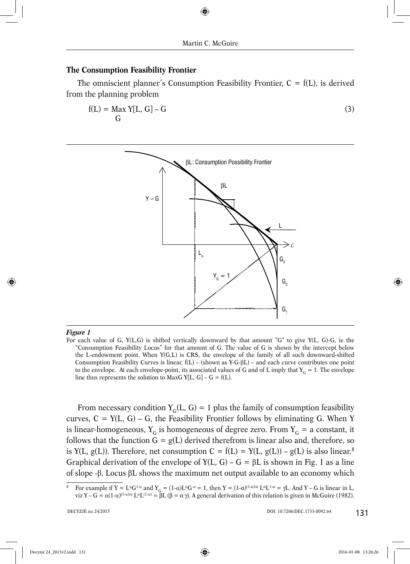#### **The Consumption Feasibility Frontier**

The omniscient planner's Consumption Feasibility Frontier,  $C = f(L)$ , is derived from the planning problem

$$
f(L) = \max_{G} Y[L, G] - G \tag{3}
$$



#### *Figure 1*

From necessary condition  $Y_c(L, G) = 1$  plus the family of consumption feasibility curves,  $C = Y(L, G) - G$ , the Feasibility Frontier follows by eliminating G. When Y is linear-homogeneous,  $Y_G$  is homogeneous of degree zero. From  $Y_G$  = a constant, it follows that the function  $G = g(L)$  derived therefrom is linear also and, therefore, so is Y(L, g(L)). Therefore, net consumption  $C = f(L) = Y(L, g(L)) - g(L)$  is also linear.<sup>8</sup> Graphical derivation of the envelope of  $Y(L, G) - G = \beta L$  is shown in Fig. 1 as a line of slope  $-\beta$ . Locus  $\beta$ L shows the maximum net output available to an economy which

For each value of G,  $Y(L, G)$  is shifted vertically downward by that amount "G" to give  $Y(L, G)$ -G, ie the "Consumption Feasibility Locus" for that amount of G. The value of G is shown by the intercept below the L-endowment point. When Y(G,L) is CRS, the envelope of the family of all such downward-shifted Consumption Feasibility Curves is linear,  $f(L)$  – (shown as Y-G- $\beta L$ ) – and each curve contributes one point to the envelope. At each envelope-point, its associated values of G and of L imply that  $Y_G = 1$ . The envelope line thus represents the solution to MaxG Y[L, G] – G = f(L).

<sup>8</sup> For example if  $Y = L^{\alpha}G^{1-\alpha}$  and  $Y_G = (1-\alpha)L^{\alpha}G^{-\alpha} = 1$ , then  $Y = (1-\alpha)^{(1-\alpha)/\alpha}L^{\alpha}L^{1-\alpha} = \gamma L$ . And  $Y - G$  is linear in L, viz Y – G =  $\alpha(1-\alpha)^{(1-\alpha)/\alpha} L^{\alpha}L^{(1-\alpha)} = \beta L (\beta = \alpha \gamma)$ . A general derivation of this relation is given in McGuire (1982).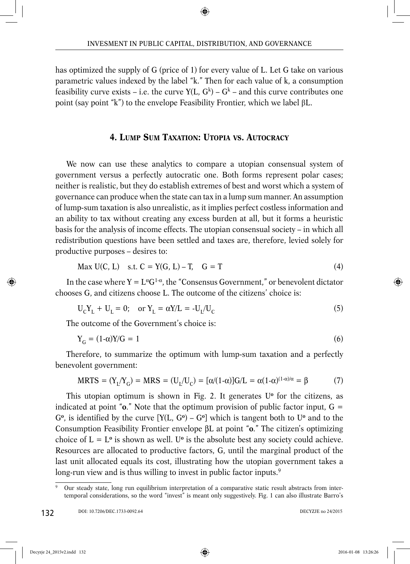has optimized the supply of G (price of 1) for every value of L. Let G take on various parametric values indexed by the label "k." Then for each value of k, a consumption feasibility curve exists – i.e. the curve  $Y(L, G<sup>k</sup>) - G<sup>k</sup>$  – and this curve contributes one point (say point "k") to the envelope Feasibility Frontier, which we label  $\beta L$ .

## **4. LUMP SUM TAXATION: UTOPIA VS. AUTOCRACY**

We now can use these analytics to compare a utopian consensual system of government versus a perfectly autocratic one. Both forms represent polar cases; neither is realistic, but they do establish extremes of best and worst which a system of governance can produce when the state can tax in a lump sum manner. An assumption of lump-sum taxation is also unrealistic, as it implies perfect costless information and an ability to tax without creating any excess burden at all, but it forms a heuristic basis for the analysis of income effects. The utopian consensual society – in which all redistribution questions have been settled and taxes are, therefore, levied solely for productive purposes – desires to:

$$
\text{Max } U(C, L) \quad \text{s.t. } C = Y(G, L) - T, \quad G = T \tag{4}
$$

In the case where  $Y = L^{\alpha}G^{1-\alpha}$ , the "Consensus Government," or benevolent dictator chooses G, and citizens choose L. The outcome of the citizens' choice is:

$$
U_C Y_L + U_L = 0; \quad \text{or } Y_L = \alpha Y/L = -U_L/U_C \tag{5}
$$

The outcome of the Government's choice is:

$$
Y_G = (1 - \alpha)Y/G = 1\tag{6}
$$

Therefore, to summarize the optimum with lump-sum taxation and a perfectly benevolent government:

$$
MRTS = (Y_L/Y_G) = MRS = (U_L/U_C) = [\alpha/(1-\alpha)]G/L = \alpha(1-\alpha)^{(1-\alpha)/\alpha} = \beta
$$
 (7)

This utopian optimum is shown in Fig. 2. It generates U**<sup>o</sup>** for the citizens, as indicated at point " $\mathbf{o}$ ." Note that the optimum provision of public factor input,  $\mathbf{G} =$  $G^{\circ}$ , is identified by the curve  $[Y(L, G^{\circ}) - G^{\circ}]$  which is tangent both to U<sup> $\circ$ </sup> and to the Consumption Feasibility Frontier envelope βL at point "**o**." The citizen's optimizing choice of  $L = L^{\circ}$  is shown as well. U<sup> $\circ$ </sup> is the absolute best any society could achieve. Resources are allocated to productive factors, G, until the marginal product of the last unit allocated equals its cost, illustrating how the utopian government takes a long-run view and is thus willing to invest in public factor inputs.<sup>9</sup>

<sup>9</sup> Our steady state, long run equilibrium interpretation of a comparative static result abstracts from intertemporal considerations, so the word "invest" is meant only suggestively. Fig. 1 can also illustrate Barro's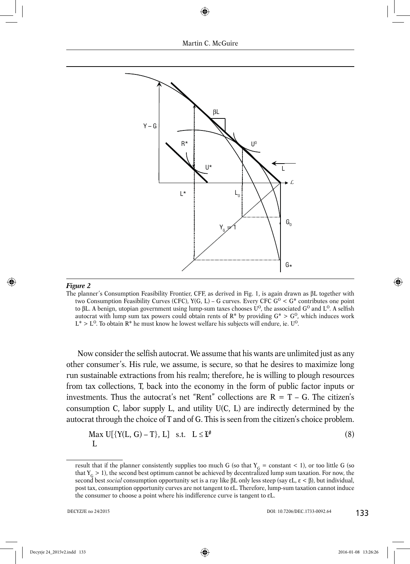

#### *Figure 2*

The planner's Consumption Feasibility Frontier, CFF, as derived in Fig. 1, is again drawn as βL together with two Consumption Feasibility Curves (CFC),  $Y(G, L) - G$  curves. Every CFC  $G^0 < G^*$  contributes one point to βL. A benign, utopian government using lump-sum taxes chooses  $U^0$ , the associated  $G^0$  and  $L^0$ . A selfish autocrat with lump sum tax powers could obtain rents of  $R^*$  by providing  $G^* > G^0$ , which induces work  $L^* > L^0$ . To obtain R<sup>\*</sup> he must know he lowest welfare his subjects will endure, ie. U<sup>0</sup>.

Now consider the selfish autocrat. We assume that his wants are unlimited just as any other consumer's. His rule, we assume, is secure, so that he desires to maximize long run sustainable extractions from his realm; therefore, he is willing to plough resources from tax collections, T, back into the economy in the form of public factor inputs or investments. Thus the autocrat's net "Rent" collections are  $R = T - G$ . The citizen's consumption C, labor supply L, and utility U(C, L) are indirectly determined by the autocrat through the choice of T and of G. This is seen from the citizen's choice problem.

$$
\begin{array}{ll}\n\text{Max } U[\{Y(L, G) - T\}, L] & \text{s.t.} \quad L \leq \mathbf{I}^{\theta} \\
L\n\end{array} \tag{8}
$$

result that if the planner consistently supplies too much G (so that  $Y_G$  = constant < 1), or too little G (so that  $Y_G > 1$ ), the second best optimum cannot be achieved by decentralized lump sum taxation. For now, the second best *social* consumption opportunity set is a ray like βL only less steep (say εL, ε < β), but individual, post tax, consumption opportunity curves are not tangent to εL. Therefore, lump-sum taxation cannot induce the consumer to choose a point where his indifference curve is tangent to εL.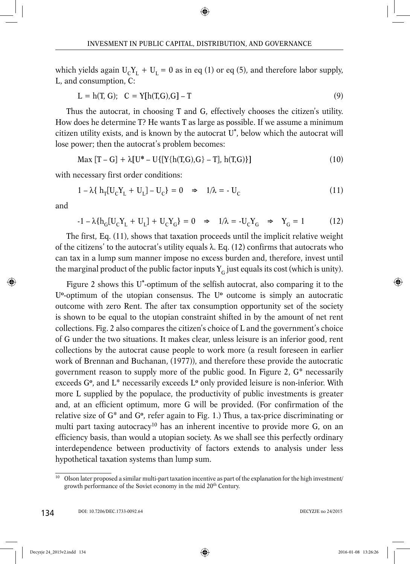which yields again  $U_cY_L + U_L = 0$  as in eq (1) or eq (5), and therefore labor supply, L, and consumption, C:

$$
L = h(T, G); \quad C = Y[h(T, G), G] - T \tag{9}
$$

Thus the autocrat, in choosing T and G, effectively chooses the citizen's utility. How does he determine T? He wants T as large as possible. If we assume a minimum citizen utility exists, and is known by the autocrat U**\*** , below which the autocrat will lose power; then the autocrat's problem becomes:

$$
Max [T - G] + \lambda [U^* - U\{[Y\{h(T, G), G\} - T], h(T, G)\}]
$$
\n(10)

with necessary first order conditions:

$$
1 - \lambda \{ h_T[U_C Y_L + U_L] - U_C \} = 0 \quad \Rightarrow \quad 1/\lambda = -U_C \tag{11}
$$

and

$$
-1 - \lambda \{ h_G[U_C Y_L + U_L] + U_C Y_G \} = 0 \Rightarrow 1/\lambda = -U_C Y_G \Rightarrow Y_G = 1
$$
 (12)

The first, Eq. (11), shows that taxation proceeds until the implicit relative weight of the citizens' to the autocrat's utility equals  $λ$ . Eq. (12) confirms that autocrats who can tax in a lump sum manner impose no excess burden and, therefore, invest until the marginal product of the public factor inputs  $Y_c$  just equals its cost (which is unity).

Figure 2 shows this U**\***-optimum of the selfish autocrat, also comparing it to the U**<sup>o</sup>**-optimum of the utopian consensus. The U**<sup>o</sup>** outcome is simply an autocratic outcome with zero Rent. The after tax consumption opportunity set of the society is shown to be equal to the utopian constraint shifted in by the amount of net rent collections. Fig. 2 also compares the citizen's choice of L and the government's choice of G under the two situations. It makes clear, unless leisure is an inferior good, rent collections by the autocrat cause people to work more (a result foreseen in earlier work of Brennan and Buchanan, (1977)), and therefore these provide the autocratic government reason to supply more of the public good. In Figure 2, G\* necessarily exceeds G**<sup>o</sup>**, and L\* necessarily exceeds L**<sup>o</sup>** only provided leisure is non-inferior. With more L supplied by the populace, the productivity of public investments is greater and, at an efficient optimum, more G will be provided. (For confirmation of the relative size of G\* and G**<sup>o</sup>**, refer again to Fig. 1.) Thus, a tax-price discriminating or multi part taxing autocracy<sup>10</sup> has an inherent incentive to provide more G, on an efficiency basis, than would a utopian society. As we shall see this perfectly ordinary interdependence between productivity of factors extends to analysis under less hypothetical taxation systems than lump sum.

<sup>&</sup>lt;sup>10</sup> Olson later proposed a similar multi-part taxation incentive as part of the explanation for the high investment/ growth performance of the Soviet economy in the mid 20<sup>th</sup> Century.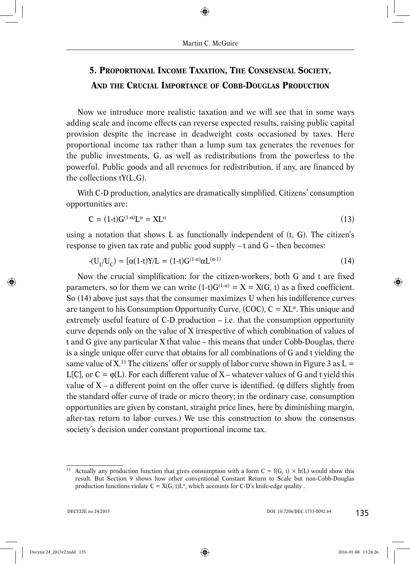## **5. PROPORTIONAL INCOME TAXATION, THE CONSENSUAL SOCIETY, AND THE CRUCIAL IMPORTANCE OF COBB-DOUGLAS PRODUCTION**

Now we introduce more realistic taxation and we will see that in some ways adding scale and income effects can reverse expected results, raising public capital provision despite the increase in deadweight costs occasioned by taxes. Here proportional income tax rather than a lump sum tax generates the revenues for the public investments, G, as well as redistributions from the powerless to the powerful. Public goods and all revenues for redistribution, if any, are financed by the collections tY(L,G).

With C-D production, analytics are dramatically simplified. Citizens' consumption opportunities are:

$$
C = (1-t)G^{(1-\alpha)}L^{\alpha} = XL^{\alpha}
$$
\n(13)

using a notation that shows L as functionally independent of (t, G). The citizen's response to given tax rate and public good supply – t and G – then becomes:

$$
-(U_{L}/U_{C}) = [\alpha(1-t)Y/L = (1-t)G^{(1-\alpha)}\alpha L^{(\alpha-1)} \qquad (14)
$$

Now the crucial simplification: for the citizen-workers, both G and t are fixed parameters, so for them we can write  $(1-t)G^{(1-\alpha)} = X = X(G, t)$  as a fixed coefficient. So (14) above just says that the consumer maximizes U when his indifference curves are tangent to his Consumption Opportunity Curve, (COC),  $C = XL^{\alpha}$ . This unique and extremely useful feature of C-D production – i.e. that the consumption opportunity curve depends only on the value of X irrespective of which combination of values of t and G give any particular X that value – this means that under Cobb-Douglas, there is a single unique offer curve that obtains for all combinations of G and t yielding the same value of  $X<sup>11</sup>$  The citizens' offer or supply of labor curve shown in Figure 3 as L = L[C], or  $C = \varphi(L)$ . For each different value of X – whatever values of G and t yield this value of  $X - a$  different point on the offer curve is identified. ( $\varphi$  differs slightly from the standard offer curve of trade or micro theory; in the ordinary case, consumption opportunities are given by constant, straight price lines, here by diminishing margin, after-tax return to labor curves.) We use this construction to show the consensus society's decision under constant proportional income tax.

<sup>&</sup>lt;sup>11</sup> Actually any production function that gives consumption with a form  $C = f(G, t) \times h(L)$  would show this result. But Section 9 shows how other conventional Constant Return to Scale but non-Cobb-Douglas production functions violate  $C = X(G, t)L^{\alpha}$ , which accounts for C-D's knife-edge quality.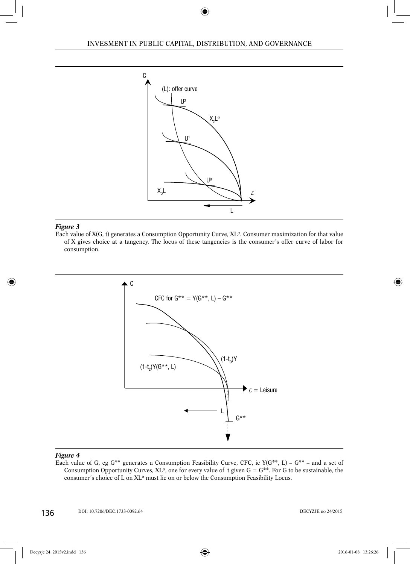

#### *Figure 3*

Each value of  $X(G, t)$  generates a Consumption Opportunity Curve,  $XL^{\alpha}$ . Consumer maximization for that value of X gives choice at a tangency. The locus of these tangencies is the consumer's offer curve of labor for consumption.



#### *Figure 4*

Each value of G, eg  $G^{**}$  generates a Consumption Feasibility Curve, CFC, ie  $Y(G^{**}, L) - G^{**}$  – and a set of Consumption Opportunity Curves,  $XL^{\alpha}$ , one for every value of t given  $G = G^{**}$ . For G to be sustainable, the consumer's choice of L on XL<sup>α</sup> must lie on or below the Consumption Feasibility Locus.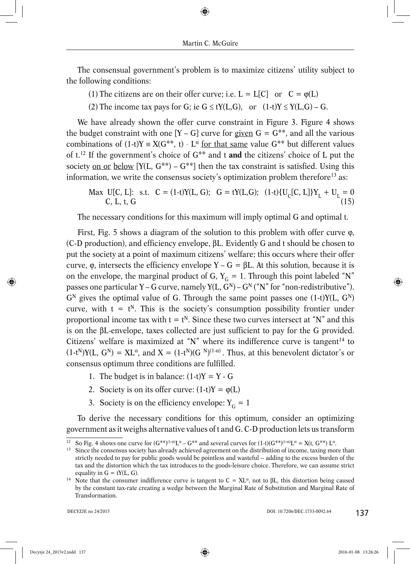The consensual government's problem is to maximize citizens' utility subject to the following conditions:

- (1) The citizens are on their offer curve; i.e.  $L = L[C]$  or  $C = \varphi(L)$
- (2) The income tax pays for G; ie  $G \le tY(L,G)$ , or  $(1-t)Y \le Y(L,G) G$ .

We have already shown the offer curve constraint in Figure 3. Figure 4 shows the budget constraint with one  $[Y - G]$  curve for given  $G = G^{**}$ , and all the various combinations of  $(1-t)Y = X(G^{**}, t) \cdot L^{\alpha}$  for that same value  $G^{**}$  but different values of t.12 If the government's choice of G\*\* and t **and** the citizens' choice of L put the society on or below  $[Y(L, G^{**}) - G^{**}]$  then the tax constraint is satisfied. Using this information, we write the consensus society's optimization problem therefore<sup>13</sup> as:

Max U[C, L]: s.t. 
$$
C = (1-t)Y(L, G); G = tY(L, G); (1-t)\{U_C[C, L]\}Y_L + U_L = 0
$$
  
C, L, t, G (15)

The necessary conditions for this maximum will imply optimal G and optimal t.

First, Fig. 5 shows a diagram of the solution to this problem with offer curve ϕ, (C-D production), and efficiency envelope, βL. Evidently G and t should be chosen to put the society at a point of maximum citizens' welfare; this occurs where their offer curve,  $\varphi$ , intersects the efficiency envelope Y – G =  $\beta$ L. At this solution, because it is on the envelope, the marginal product of G,  $Y_G = 1$ . Through this point labeled "N" passes one particular Y – G curve, namely  $Y(L, G^N)$  –  $G^N$  ("N" for "non-redistributive").  $G<sup>N</sup>$  gives the optimal value of G. Through the same point passes one (1-t) $Y(L, G<sup>N</sup>)$ curve, with  $t = t^N$ . This is the society's consumption possibility frontier under proportional income tax with  $t = t^N$ . Since these two curves intersect at "N" and this is on the βL-envelope, taxes collected are just sufficient to pay for the G provided. Citizens' welfare is maximized at "N" where its indifference curve is tangent<sup>14</sup> to  $(1-t^N)Y(L, G^N) = XL^{\alpha}$ , and  $X = (1-t^N)(G^{N}(1-\alpha))$ . Thus, at this benevolent dictator's or consensus optimum three conditions are fulfilled.

- 1. The budget is in balance:  $(1-t)Y = Y G$
- 2. Society is on its offer curve:  $(1-t)Y = \varphi(L)$
- 3. Society is on the efficiency envelope:  $Y_G = 1$

To derive the necessary conditions for this optimum, consider an optimizing government as it weighs alternative values of t and G. C-D production lets us transform

<sup>&</sup>lt;sup>12</sup> So Fig. 4 shows one curve for  $(G^{**})^{(1-\alpha)}L^{\alpha} - G^{**}$  and several curves for  $(1-t)(G^{**})^{(1-\alpha)}L^{\alpha} = X(t, G^{**})L^{\alpha}$ .<br><sup>13</sup> Since the consensus society has already achieved agreement on the distribution of income, taxing mo

strictly needed to pay for public goods would be pointless and wasteful -- adding to the excess burden of the tax and the distortion which the tax introduces to the goods-leisure choice. Therefore, we can assume strict

equality in G = tY(L, G).<br><sup>14</sup> Note that the consumer indifference curve is tangent to C = XL<sup>α</sup>, not to βL, this distortion being caused by the constant tax-rate creating a wedge between the Marginal Rate of Substitution and Marginal Rate of Transformation.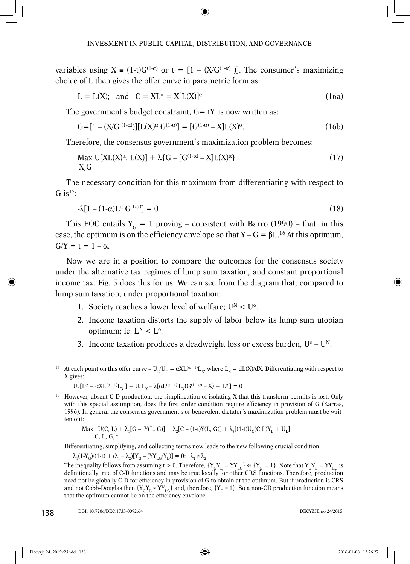variables using  $X = (1-t)G^{(1-\alpha)}$  or  $t = [1 - (X/G^{(1-\alpha)})]$ . The consumer's maximizing choice of L then gives the offer curve in parametric form as:

$$
L = L(X); \text{ and } C = XL^{\alpha} = X[L(X)]^{\alpha}
$$
\n(16a)

The government's budget constraint,  $G = tY$ , is now written as:

$$
G = [1 - (X/G^{(1-\alpha)})][L(X)^{\alpha} G^{(1-\alpha)}] = [G^{(1-\alpha)} - X]L(X)^{\alpha}.
$$
 (16b)

Therefore, the consensus government's maximization problem becomes:

$$
\text{Max } \text{U}[\text{XL}(\text{X})^{\alpha}, \text{L}(\text{X})] + \lambda \{G - [G^{(1-\alpha)} - \text{X}]\text{L}(\text{X})^{\alpha}\}\tag{17}
$$
\n
$$
\text{X,G}
$$

The necessary condition for this maximum from differentiating with respect to G is  $15$ :

$$
-\lambda[1-(1-\alpha)L^{\alpha} G^{1-\alpha}] = 0 \qquad (18)
$$

This FOC entails  $Y_G = 1$  proving – consistent with Barro (1990) – that, in this case, the optimum is on the efficiency envelope so that  $Y - G = \beta L^{16}$  At this optimum,  $G/Y = t = 1 - \alpha$ .

Now we are in a position to compare the outcomes for the consensus society under the alternative tax regimes of lump sum taxation, and constant proportional income tax. Fig. 5 does this for us. We can see from the diagram that, compared to lump sum taxation, under proportional taxation:

- 1. Society reaches a lower level of welfare;  $U^N < U^0$ .
- 2. Income taxation distorts the supply of labor below its lump sum utopian optimum; ie.  $L^N < L^0$ .
- 3. Income taxation produces a deadweight loss or excess burden,  $U^{\circ} U^{\scriptstyle{N}}$ .
- <sup>15</sup> At each point on this offer curve U<sub>L</sub>/U<sub>C</sub> =  $\alpha X L^{(\alpha-1)}L_x$ , where L<sub>x</sub> = dL(X)/dX. Differentiating with respect to X gives:

$$
U_{C}[L^{\alpha}+\alpha X L^{(\alpha-1)}L_{X}]+U_{L}L_{X}-\lambda[\alpha L^{(\alpha-1)}L_{X}(G^{(1-\alpha)}-X)+L^{\alpha}]=0
$$

Max U(C, L) + 
$$
\lambda_1[G - tY(L, G)] + \lambda_2[C - (1-t)Y(L, G)] + \lambda_3[(1-t)U_C(C, L)Y_L + U_L]
$$
  
C, L, G, t

Differentiating, simplifying, and collecting terms now leads to the new following crucial condition:

$$
\lambda_1(1-Y_G)/(1-t) + (\lambda_1 - \lambda_2)[Y_G - (YY_{LG}/Y_L)] = 0: \ \lambda_1 \neq \lambda_2
$$

The inequality follows from assuming t > 0. Therefore,  ${Y_GY_L = YY_{LG}} \Leftrightarrow {Y_G = 1}$ . Note that  ${Y_GY_L = YY_{LG}}$  is definitionally true of C-D functions and may be true locally for other CRS functions. Therefore, production need not be globally C-D for efficiency in provision of G to obtain at the optimum. But if production is CRS and not Cobb-Douglas then  ${Y_GY_L \neq YY_{LG}}$  and, therefore,  ${Y_G \neq 1}$ . So a non-CD production function means that the optimum cannot lie on the efficiency envelope.

<sup>&</sup>lt;sup>16</sup> However, absent C-D production, the simplification of isolating X that this transform permits is lost. Only with this special assumption, does the first order condition require efficiency in provision of G (Karras, 1996). In general the consensus government's or benevolent dictator's maximization problem must be written out: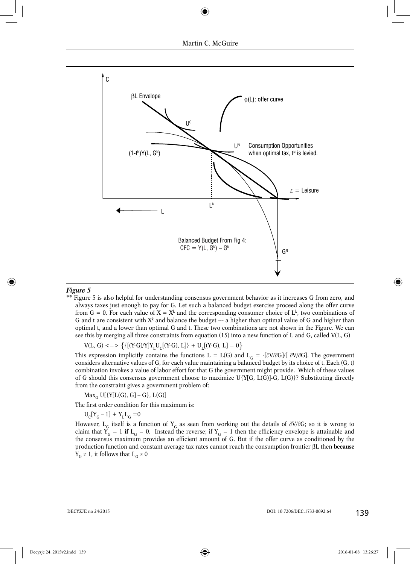

#### *Figure 5*

\*\* Figure 5 is also helpful for understanding consensus government behavior as it increases G from zero, and always taxes just enough to pay for G. Let such a balanced budget exercise proceed along the offer curve from G = 0. For each value of  $X = X^k$  and the corresponding consumer choice of  $L^k$ , two combinations of G and t are consistent with  $X^k$  and balance the budget --- a higher than optimal value of G and higher than optimal t, and a lower than optimal G and t. These two combinations are not shown in the Figure. We can see this by merging all three constraints from equation (15) into a new function of L and G, called V(L, G)

 $V(L, G) \leq \frac{1}{2} \left\{ \left\{ \frac{(Y-G)}{Y} \right\} \left[ Y_C(Y - G), L \right] \right\} + U_I(Y - G), L = 0$ 

This expression implicitly contains the functions L = L(G) and L<sub>G</sub> = -[ $\partial V/\partial G$ ]/[  $\partial V/\partial G$ ]. The government considers alternative values of G, for each value maintaining a balanced budget by its choice of t. Each (G, t) combination invokes a value of labor effort for that G the government might provide. Which of these values of G should this consensus government choose to maximize U{Y[G, L(G)]-G, L(G)}? Substituting directly from the constraint gives a government problem of:

 $Max_{G} U[\{Y[L(G), G] - G\}, L(G)]$ 

The first order condition for this maximum is:

$$
U_C[Y_G - 1] + Y_LL_G = 0
$$

However, L<sub>G</sub> itself is a function of Y<sub>G</sub> as seen from working out the details of  $\partial V/\partial G$ ; so it is wrong to claim that  $Y_G = 1$  **if**  $L_G = 0$ . Instead the reverse; if  $Y_G = 1$  then the efficiency envelope is attainable and the consensus maximum provides an efficient amount of G. But if the offer curve as conditioned by the production function and constant average tax rates cannot reach the consumption frontier βL then **because**  $Y_G \neq 1$ , it follows that  $L_G \neq 0$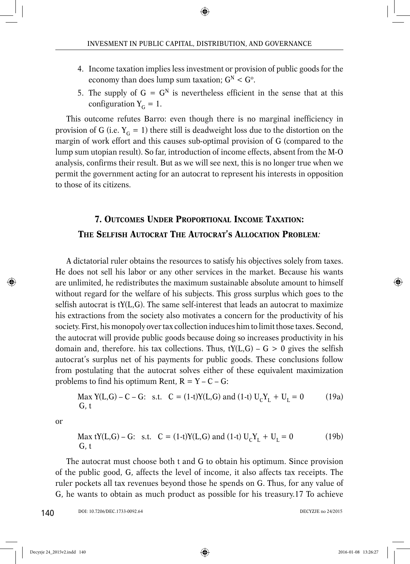- 4. Income taxation implies less investment or provision of public goods for the economy than does lump sum taxation;  $G^N < G^{\circ}$ .
- 5. The supply of  $G = G^N$  is nevertheless efficient in the sense that at this configuration  $Y_G = 1$ .

This outcome refutes Barro: even though there is no marginal inefficiency in provision of G (i.e.  $Y_G = 1$ ) there still is deadweight loss due to the distortion on the margin of work effort and this causes sub-optimal provision of G (compared to the lump sum utopian result). So far, introduction of income effects, absent from the M-O analysis, confirms their result. But as we will see next, this is no longer true when we permit the government acting for an autocrat to represent his interests in opposition to those of its citizens.

## **7. OUTCOMES UNDER PROPORTIONAL INCOME TAXATION: THE SELFISH AUTOCRAT THE AUTOCRAT'S ALLOCATION PROBLEM***:*

A dictatorial ruler obtains the resources to satisfy his objectives solely from taxes. He does not sell his labor or any other services in the market. Because his wants are unlimited, he redistributes the maximum sustainable absolute amount to himself without regard for the welfare of his subjects. This gross surplus which goes to the selfish autocrat is tY(L,G). The same self-interest that leads an autocrat to maximize his extractions from the society also motivates a concern for the productivity of his society. First, his monopoly over tax collection induces him to limit those taxes. Second, the autocrat will provide public goods because doing so increases productivity in his domain and, therefore. his tax collections. Thus,  $tY(L,G) - G > 0$  gives the selfish autocrat's surplus net of his payments for public goods. These conclusions follow from postulating that the autocrat solves either of these equivalent maximization problems to find his optimum Rent,  $R = Y - C - G$ :

Max Y(L,G) – C – G: s.t. C = (1-t)Y(L,G) and (1-t) 
$$
U_C Y_L + U_L = 0
$$
 (19a)  
G, t

or

Max tY(L,G) – G: s.t. 
$$
C = (1-t)Y(L,G)
$$
 and  $(1-t) U_C Y_L + U_L = 0$  (19b)  
G, t

The autocrat must choose both t and G to obtain his optimum. Since provision of the public good, G, affects the level of income, it also affects tax receipts. The ruler pockets all tax revenues beyond those he spends on G. Thus, for any value of G, he wants to obtain as much product as possible for his treasury.17 To achieve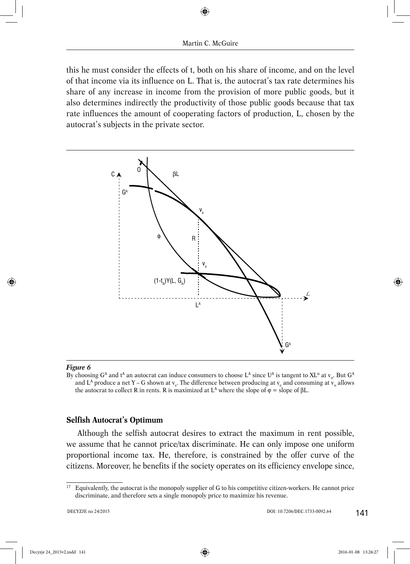this he must consider the effects of t, both on his share of income, and on the level of that income via its influence on L. That is, the autocrat's tax rate determines his share of any increase in income from the provision of more public goods, but it also determines indirectly the productivity of those public goods because that tax rate influences the amount of cooperating factors of production, L, chosen by the autocrat's subjects in the private sector.



#### *Figure 6*

By choosing  $G^A$  and t<sup>A</sup> an autocrat can induce consumers to choose L<sup>A</sup> since U<sup>A</sup> is tangent to XL<sup>α</sup> at v<sub>o</sub>. But  $G^A$ and L<sup>A</sup> produce a net Y – G shown at  $v_e$ . The difference between producing at  $v_e$  and consuming at  $v_o$  allows the autocrat to collect R in rents. R is maximized at  $L^A$  where the slope of  $\varphi =$  slope of  $\beta L$ .

#### **Selfish Autocrat's Optimum**

Although the selfish autocrat desires to extract the maximum in rent possible, we assume that he cannot price/tax discriminate. He can only impose one uniform proportional income tax. He, therefore, is constrained by the offer curve of the citizens. Moreover, he benefits if the society operates on its efficiency envelope since,

<sup>&</sup>lt;sup>17</sup> Equivalently, the autocrat is the monopoly supplier of G to his competitive citizen-workers. He cannot price discriminate, and therefore sets a single monopoly price to maximize his revenue.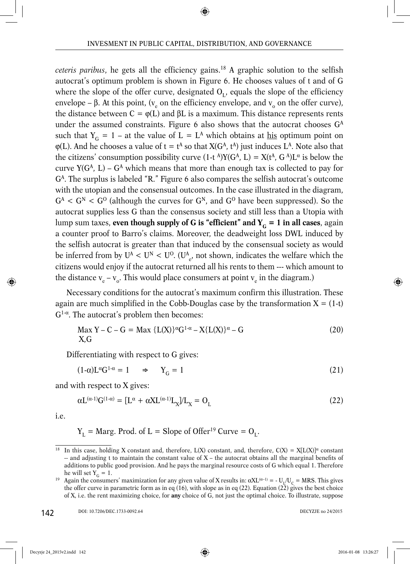*ceteris paribus*, he gets all the efficiency gains.18 A graphic solution to the selfish autocrat's optimum problem is shown in Figure 6. He chooses values of t and of G where the slope of the offer curve, designated  $O<sub>1</sub>$ , equals the slope of the efficiency envelope – β. At this point, ( $v_e$  on the efficiency envelope, and  $v_o$  on the offer curve), the distance between  $C = \varphi(L)$  and  $\beta L$  is a maximum. This distance represents rents under the assumed constraints. Figure 6 also shows that the autocrat chooses G<sup>A</sup> such that  $Y_G = 1 - at$  the value of  $L = L^A$  which obtains at his optimum point on  $\varphi(L)$ . And he chooses a value of  $t = t^A$  so that  $X(G^A, t^A)$  just induces  $L^A$ . Note also that the citizens' consumption possibility curve  $(1-t^A)Y(G^A, L) = X(t^A, G^A)L^{\alpha}$  is below the curve  $Y(G<sup>A</sup>, L) - G<sup>A</sup>$  which means that more than enough tax is collected to pay for  $G<sup>A</sup>$ . The surplus is labeled "R." Figure 6 also compares the selfish autocrat's outcome with the utopian and the consensual outcomes. In the case illustrated in the diagram,  $G^A < G^N < G^0$  (although the curves for  $G^N$ , and  $G^O$  have been suppressed). So the autocrat supplies less G than the consensus society and still less than a Utopia with lump sum taxes, **even though supply of G is "efficient" and**  $Y_c = 1$  **in all cases**, again a counter proof to Barro's claims. Moreover, the deadweight loss DWL induced by the selfish autocrat is greater than that induced by the consensual society as would be inferred from by  $U^A < U^N < U^O$ . ( $U^A_{e'}$ , not shown, indicates the welfare which the citizens would enjoy if the autocrat returned all his rents to them --- which amount to the distance  $v_e - v_o$ . This would place consumers at point  $v_e$  in the diagram.)

Necessary conditions for the autocrat's maximum confirm this illustration. These again are much simplified in the Cobb-Douglas case by the transformation  $X = (1-t)$ G1-<sup>α</sup>. The autocrat's problem then becomes:

$$
\text{Max } Y - C - G = \text{Max } \{L(X)\}^{\alpha} G^{1-\alpha} - X \{L(X)\}^{\alpha} - G \tag{20}
$$
\n
$$
X, G
$$

Differentiating with respect to G gives:

$$
(1-\alpha)L^{\alpha}G^{1-\alpha} = 1 \qquad \Rightarrow \qquad Y_G = 1 \tag{21}
$$

and with respect to X gives:

$$
\alpha L^{(\alpha-1)} G^{(1-\alpha)} = [L^{\alpha} + \alpha X L^{(\alpha-1)} L_X] / L_X = O_L
$$
\n(22)

i.e.

$$
Y_L
$$
 = Marg. Prod. of L = Slope of Offer<sup>19</sup> Curve = O<sub>L</sub>.

<sup>&</sup>lt;sup>18</sup> In this case, holding X constant and, therefore, L(X) constant, and, therefore, C(X) = X[L(X)]<sup>α</sup> constant  $-$  and adjusting t to maintain the constant value of  $X$  – the autocrat obtains all the marginal benefits of additions to public good provision. And he pays the marginal resource costs of G which equal 1. Therefore

he will set Y<sub>G</sub> = 1.<br><sup>19</sup> Again the consumers' maximization for any given value of X results in:  $\alpha X L^{(\alpha-1)} = -U_1/U_C = MRS$ . This gives the offer curve in parametric form as in eq (16), with slope as in eq (22). Equation (22) gives the best choice of X, i.e. the rent maximizing choice, for **any** choice of G, not just the optimal choice. To illustrate, suppose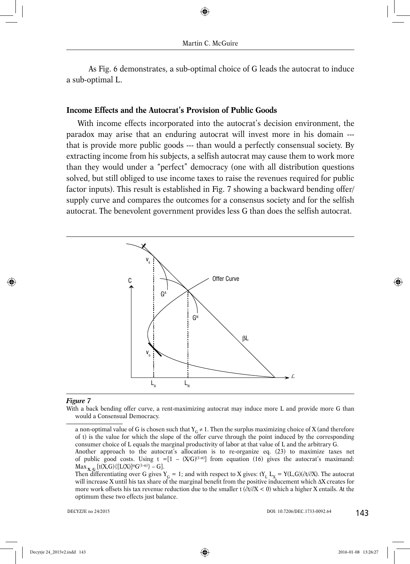As Fig. 6 demonstrates, a sub-optimal choice of G leads the autocrat to induce a sub-optimal L.

## **Income Effects and the Autocrat's Provis ion of Public Goods**

With income effects incorporated into the autocrat's decision environment, the paradox may arise that an enduring autocrat will invest more in his domain -- that is provide more public goods --- than would a perfectly consensual society. By extracting income from his subjects, a selfish autocrat may cause them to work more than they would under a "perfect" democracy (one with all distribution questions solved, but still obliged to use income taxes to raise the revenues required for public factor inputs). This result is established in Fig. 7 showing a backward bending offer/ supply curve and compares the outcomes for a consensus society and for the selfish autocrat. The benevolent government provides less G than does the selfish autocrat.



#### *Figure 7*

With a back bending offer curve, a rent-maximizing autocrat may induce more L and provide more G than would a Consensual Democracy.

a non-optimal value of G is chosen such that  $Y_G \neq 1$ . Then the surplus maximizing choice of X (and therefore of t) is the value for which the slope of the offer curve through the point induced by the corresponding consumer choice of L equals the marginal productivity of labor at that value of L and the arbitrary G. Another approach to the autocrat's allocation is to re-organize eq. (23) to maximize taxes net of public good costs. Using  $t = [1 - (X/G)^{(1-\alpha)}]$  from equation (16) gives the autocrat's maximand:

 $\text{Max}_{\mathbf{X},\mathbf{G}}\left[\text{t}(\mathbf{X},\mathbf{G})\{\text{[L}(\mathbf{X})]^\alpha\mathbf{G}^{(1-\alpha)}\}-\mathbf{G}\right].$ 

Then differentiating over G gives  $Y_G = 1$ ; and with respect to X gives:  $tY_L L_X = Y(L, G)(\partial t/\partial X)$ . The autocrat will increase X until his tax share of the marginal benefi t from the positive inducement which ΔX creates for more work offsets his tax revenue reduction due to the smaller t  $(\partial t/\partial X < 0)$  which a higher X entails. At the optimum these two effects just balance.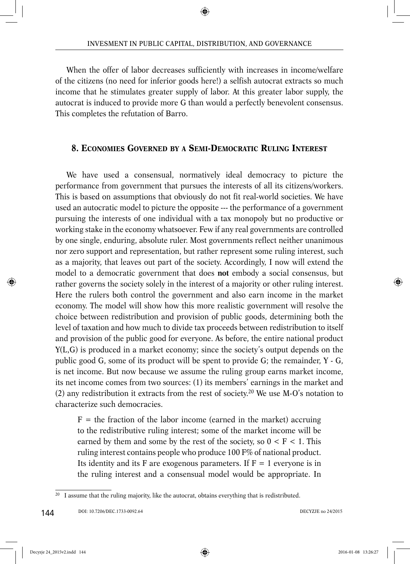When the offer of labor decreases sufficiently with increases in income/welfare of the citizens (no need for inferior goods here!) a selfish autocrat extracts so much income that he stimulates greater supply of labor. At this greater labor supply, the autocrat is induced to provide more G than would a perfectly benevolent consensus. This completes the refutation of Barro.

## **8. ECONOMIES GOVERNED BY A SEMI-DEMOCRATIC RULING INTEREST**

We have used a consensual, normatively ideal democracy to picture the performance from government that pursues the interests of all its citizens/workers. This is based on assumptions that obviously do not fit real-world societies. We have used an autocratic model to picture the opposite --- the performance of a government pursuing the interests of one individual with a tax monopoly but no productive or working stake in the economy whatsoever. Few if any real governments are controlled by one single, enduring, absolute ruler. Most governments reflect neither unanimous nor zero support and representation, but rather represent some ruling interest, such as a majority, that leaves out part of the society. Accordingly, I now will extend the model to a democratic government that does **not** embody a social consensus, but rather governs the society solely in the interest of a majority or other ruling interest. Here the rulers both control the government and also earn income in the market economy. The model will show how this more realistic government will resolve the choice between redistribution and provision of public goods, determining both the level of taxation and how much to divide tax proceeds between redistribution to itself and provision of the public good for everyone. As before, the entire national product Y(L,G) is produced in a market economy; since the society's output depends on the public good G, some of its product will be spent to provide G; the remainder, Y - G, is net income. But now because we assume the ruling group earns market income, its net income comes from two sources: (1) its members' earnings in the market and (2) any redistribution it extracts from the rest of society.<sup>20</sup> We use M-O's notation to characterize such democracies.

 $F =$  the fraction of the labor income (earned in the market) accruing to the redistributive ruling interest; some of the market income will be earned by them and some by the rest of the society, so  $0 \le F \le 1$ . This ruling interest contains people who produce 100 F% of national product. Its identity and its F are exogenous parameters. If  $F = 1$  everyone is in the ruling interest and a consensual model would be appropriate. In

<sup>&</sup>lt;sup>20</sup> I assume that the ruling majority, like the autocrat, obtains everything that is redistributed.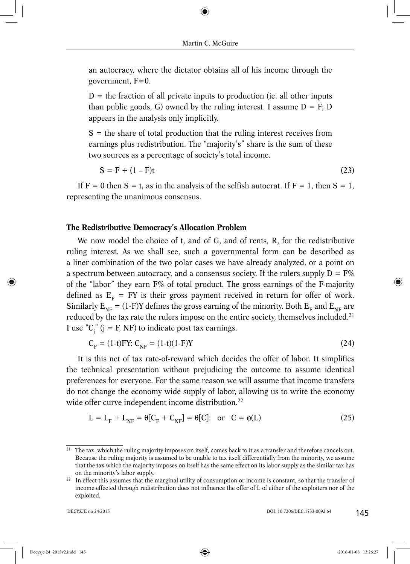an autocracy, where the dictator obtains all of his income through the government,  $F=0$ .

 $D =$  the fraction of all private inputs to production (ie. all other inputs than public goods, G) owned by the ruling interest. I assume  $D = F$ ; D appears in the analysis only implicitly.

 $S =$  the share of total production that the ruling interest receives from earnings plus redistribution. The "majority's" share is the sum of these two sources as a percentage of society's total income.

 $S = F + (1 - F)t$  (23)

If  $F = 0$  then  $S = t$ , as in the analysis of the selfish autocrat. If  $F = 1$ , then  $S = 1$ , representing the unanimous consensus.

## **The Redistributive Democracy's Allocation Problem**

We now model the choice of t, and of G, and of rents, R, for the redistributive ruling interest. As we shall see, such a governmental form can be described as a liner combination of the two polar cases we have already analyzed, or a point on a spectrum between autocracy, and a consensus society. If the rulers supply  $D = F\%$ of the "labor" they earn F% of total product. The gross earnings of the F-majority defined as  $E<sub>F</sub>$  = FY is their gross payment received in return for offer of work. Similarly  $E_{NF} = (1-F)Y$  defines the gross earning of the minority. Both  $E_{F}$  and  $E_{NF}$  are reduced by the tax rate the rulers impose on the entire society, themselves included.21 I use " $C_j$ " (j = F, NF) to indicate post tax earnings.

$$
C_F = (1-t)FY: C_{NF} = (1-t)(1-F)Y
$$
\n(24)

It is this net of tax rate-of-reward which decides the offer of labor. It simplifies the technical presentation without prejudicing the outcome to assume identical preferences for everyone. For the same reason we will assume that income transfers do not change the economy wide supply of labor, allowing us to write the economy wide offer curve independent income distribution.<sup>22</sup>

$$
L = LF + LNF = \theta[CF + CNF] = \theta[C]: or C = \phi(L)
$$
\n(25)

<sup>&</sup>lt;sup>21</sup> The tax, which the ruling majority imposes on itself, comes back to it as a transfer and therefore cancels out. Because the ruling majority is assumed to be unable to tax itself differentially from the minority, we assume that the tax which the majority imposes on itself has the same effect on its labor supply as the similar tax has on the minority's labor supply.

<sup>&</sup>lt;sup>22</sup> In effect this assumes that the marginal utility of consumption or income is constant, so that the transfer of income effected through redistribution does not influence the offer of L of either of the exploiters nor of the exploited.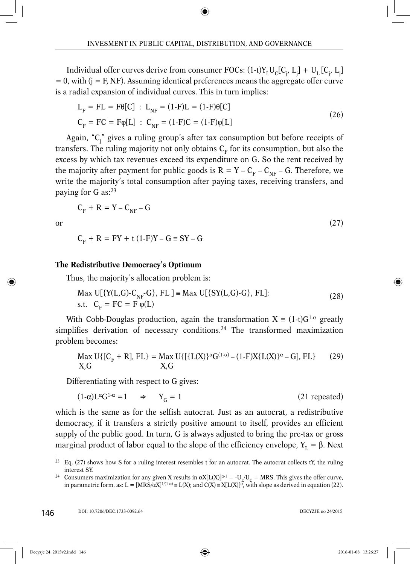Individual offer curves derive from consumer FOCs:  $(1\text{-}t)Y^{\vphantom{\dagger}}_L U^{\vphantom{\dagger}}_C [C^{\vphantom{\dagger}}_{j'}, L^{\vphantom{\dagger}}_j] + U^{\vphantom{\dagger}}_L [C^{\vphantom{\dagger}}_{j'}, L^{\vphantom{\dagger}}_j]$  $= 0$ , with (j = F, NF). Assuming identical preferences means the aggregate offer curve is a radial expansion of individual curves. This in turn implies:

$$
L_{F} = FL = F\theta[C] : L_{NF} = (1-F)L = (1-F)\theta[C]
$$
  
\n
$$
C_{F} = FC = F\phi[L] : C_{NF} = (1-F)C = (1-F)\phi[L]
$$
\n(26)

Again, "C<sub>j</sub>" gives a ruling group's after tax consumption but before receipts of transfers. The ruling majority not only obtains  $C_F$  for its consumption, but also the excess by which tax revenues exceed its expenditure on G. So the rent received by the majority after payment for public goods is  $R = Y - C_F - C_{NF} - G$ . Therefore, we write the majority's total consumption after paying taxes, receiving transfers, and paying for G as:<sup>23</sup>

$$
C_{F} + R = Y - C_{NF} - G
$$

or  $(27)$ 

$$
C_{F} + R = FY + t (1-F)Y - G \equiv SY - G
$$

### **The Redistributive Democracy's Optimum**

Thus, the majority's allocation problem is:

$$
\text{Max } \text{U}[\{Y(L,G) - C_{\text{NF}} - G\}, \text{ FL }] \equiv \text{Max } \text{U}[\{SY(L,G) - G\}, \text{ FL}]:
$$
\n
$$
\text{s.t. } C_{\text{F}} = \text{FC} = \text{F } \varphi(\text{L})
$$
\n
$$
\tag{28}
$$

With Cobb-Douglas production, again the transformation  $X = (1-t)G^{1-\alpha}$  greatly simplifies derivation of necessary conditions.<sup>24</sup> The transformed maximization problem becomes:

$$
\text{Max } U\{[C_F + R], FL\} = \text{Max } U\{[\{L(X)\}^{\alpha}G^{(1-\alpha)} - (1-F)X\{L(X)\}^{\alpha} - G], FL\} \tag{29}
$$
\n
$$
X, G
$$

Differentiating with respect to G gives:

$$
(1-\alpha)L^{\alpha}G^{1-\alpha} = 1 \qquad \Rightarrow \qquad Y_G = 1 \tag{21 repeated}
$$

which is the same as for the selfish autocrat. Just as an autocrat, a redistributive democracy, if it transfers a strictly positive amount to itself, provides an efficient supply of the public good. In turn, G is always adjusted to bring the pre-tax or gross marginal product of labor equal to the slope of the efficiency envelope,  $Y<sub>1</sub> = β$ . Next

 $23$  Eq. (27) shows how S for a ruling interest resembles t for an autocrat. The autocrat collects tY, the ruling interest SY.

<sup>&</sup>lt;sup>24</sup> Consumers maximization for any given X results in  $\alpha X[L(X)]^{\alpha-1} = -U_1/U_c = MRS$ . This gives the offer curve, in parametric form, as:  $L = [MRS/\alpha X]^{1/(1-\alpha)} = L(X)$ ; and  $C(X) = X[L(X)]^{\alpha}$ , with slope as derived in equation (22).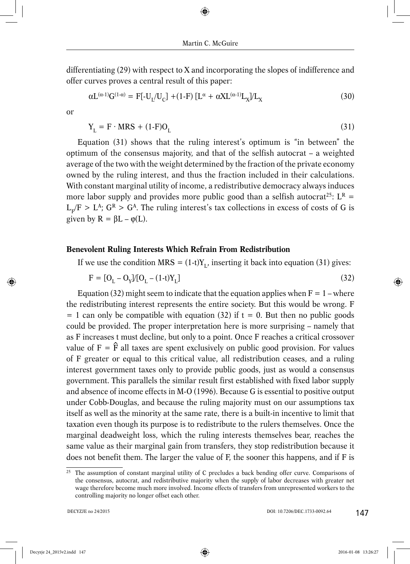differentiating (29) with respect to X and incorporating the slopes of indifference and offer curves proves a central result of this paper:

$$
\alpha L^{(\alpha-1)} G^{(1-\alpha)} = F[-U_L/U_C] + (1-F) [L^{\alpha} + \alpha X L^{(\alpha-1)} L_X] / L_X
$$
\n(30)

or

$$
Y_{L} = F \cdot MRS + (1-F)O_{L}
$$
\n(31)

Equation (31) shows that the ruling interest's optimum is "in between" the optimum of the consensus majority, and that of the selfish autocrat – a weighted average of the two with the weight determined by the fraction of the private economy owned by the ruling interest, and thus the fraction included in their calculations. With constant marginal utility of income, a redistributive democracy always induces more labor supply and provides more public good than a selfish autocrat<sup>25</sup>:  $L^R$  =  $L_v/F > L^A$ ;  $G^R > G^A$ . The ruling interest's tax collections in excess of costs of G is given by  $R = \beta L - \varphi(L)$ .

## **Benevolent Ruling Interests Which Refrain From Redistribution**

If we use the condition MRS =  $(1-t)Y_t$ , inserting it back into equation (31) gives:

$$
F = [O_L - O_Y]/[O_L - (1-t)Y_L]
$$
\n(32)

Equation (32) might seem to indicate that the equation applies when  $F = 1$  – where the redistributing interest represents the entire society. But this would be wrong. F  $= 1$  can only be compatible with equation (32) if  $t = 0$ . But then no public goods could be provided. The proper interpretation here is more surprising – namely that as F increases t must decline, but only to a point. Once F reaches a critical crossover value of  $F = \hat{F}$  all taxes are spent exclusively on public good provision. For values of F greater or equal to this critical value, all redistribution ceases, and a ruling interest government taxes only to provide public goods, just as would a consensus government. This parallels the similar result first established with fixed labor supply and absence of income effects in M-O (1996). Because G is essential to positive output under Cobb-Douglas, and because the ruling majority must on our assumptions tax itself as well as the minority at the same rate, there is a built-in incentive to limit that taxation even though its purpose is to redistribute to the rulers themselves. Once the marginal deadweight loss, which the ruling interests themselves bear, reaches the same value as their marginal gain from transfers, they stop redistribution because it does not benefit them. The larger the value of F, the sooner this happens, and if F is

<sup>&</sup>lt;sup>25</sup> The assumption of constant marginal utility of C precludes a back bending offer curve. Comparisons of the consensus, autocrat, and redistributive majority when the supply of labor decreases with greater net wage therefore become much more involved. Income effects of transfers from unrepresented workers to the controlling majority no longer offset each other.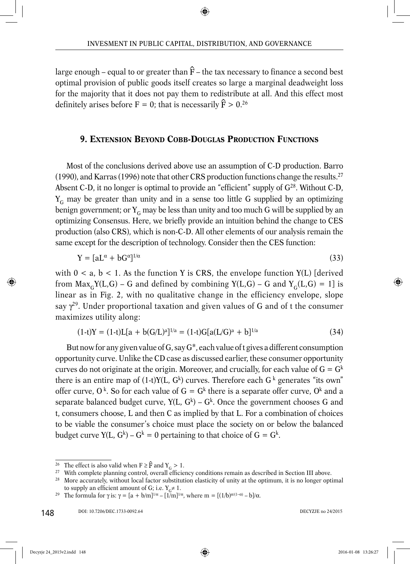large enough – equal to or greater than  $\hat{F}$  – the tax necessary to finance a second best optimal provision of public goods itself creates so large a marginal deadweight loss for the majority that it does not pay them to redistribute at all. And this effect most definitely arises before  $F = 0$ ; that is necessarily  $\hat{F} > 0.^{26}$ 

## **9. EXTENSION BEYOND COBB-DOUGLAS PRODUCTION FUNCTIONS**

Most of the conclusions derived above use an assumption of C-D production. Barro (1990), and Karras (1996) note that other CRS production functions change the results.<sup>27</sup> Absent C-D, it no longer is optimal to provide an "efficient" supply of  $G^{28}$ . Without C-D,  $Y_c$  may be greater than unity and in a sense too little G supplied by an optimizing benign government; or  $Y_G$  may be less than unity and too much G will be supplied by an optimizing Consensus. Here, we briefly provide an intuition behind the change to CES production (also CRS), which is non-C-D. All other elements of our analysis remain the same except for the description of technology. Consider then the CES function:

$$
Y = [aL^{\alpha} + bG^{\alpha}]^{1/\alpha} \tag{33}
$$

with  $0 < a, b < 1$ . As the function Y is CRS, the envelope function Y(L) [derived] from  $Max_cY(L,G)$  – G and defined by combining  $Y(L,G)$  – G and  $Y_c(L,G) = 1$  is linear as in Fig. 2, with no qualitative change in the efficiency envelope, slope say  $\gamma^{29}$ . Under proportional taxation and given values of G and of t the consumer maximizes utility along:

$$
(1-t)Y = (1-t)L[a + b(G/L)^{a}]^{1/a} = (1-t)G[a(L/G)^{a} + b]^{1/a}
$$
\n(34)

But now for any given value of G, say  $G^*$ , each value of t gives a different consumption opportunity curve. Unlike the CD case as discussed earlier, these consumer opportunity curves do not originate at the origin. Moreover, and crucially, for each value of  $G = G^k$ there is an entire map of  $(1-t)Y(L, G<sup>k</sup>)$  curves. Therefore each  $G<sup>k</sup>$  generates "its own" offer curve,  $0^k$ . So for each value of  $G = G^k$  there is a separate offer curve,  $0^k$  and a separate balanced budget curve,  $Y(L, G<sup>k</sup>) - G<sup>k</sup>$ . Once the government chooses G and t, consumers choose, L and then C as implied by that L. For a combination of choices to be viable the consumer's choice must place the society on or below the balanced budget curve  $Y(L, G<sup>k</sup>) - G<sup>k</sup> = 0$  pertaining to that choice of  $G = G<sup>k</sup>$ .

148

<sup>&</sup>lt;sup>26</sup> The effect is also valid when F ≥  $\hat{F}$  and Y<sub>G</sub> > 1.<br><sup>27</sup> With complete planning control, overall efficiency conditions remain as described in Section III above.

<sup>&</sup>lt;sup>28</sup> More accurately, without local factor substitution elasticity of unity at the optimum, it is no longer optimal to supply an efficient amount of G; i.e.  $Y_G \neq 1$ .<br><sup>29</sup> The formula for γ is: γ = [a + b/m]<sup>1/α</sup> – [1/m]<sup>1/α</sup>, where m = [(1/b)<sup>α/(1–α)</sup> – b]/α.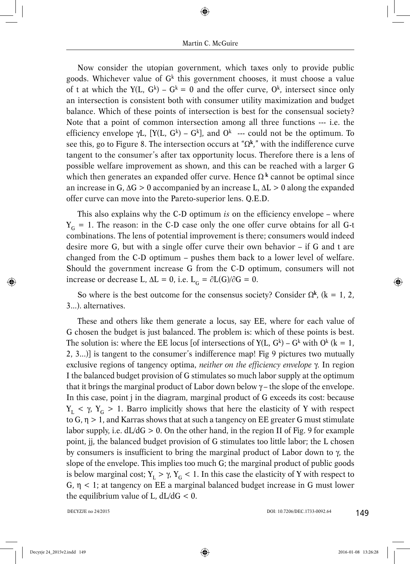Now consider the utopian government, which taxes only to provide public goods. Whichever value of  $G<sup>k</sup>$  this government chooses, it must choose a value of t at which the Y(L,  $G^k$ ) –  $G^k = 0$  and the offer curve,  $O^k$ , intersect since only an intersection is consistent both with consumer utility maximization and budget balance. Which of these points of intersection is best for the consensual society? Note that a point of common intersection among all three functions --- i.e. the efficiency envelope γL,  $[Y(L, G^k) - G^k]$ , and  $O^k$  --- could not be the optimum. To see this, go to Figure 8. The intersection occurs at " $\Omega^k$ ," with the indifference curve tangent to the consumer's after tax opportunity locus. Therefore there is a lens of possible welfare improvement as shown, and this can be reached with a larger G which then generates an expanded offer curve. Hence  $\Omega^k$  cannot be optimal since an increase in G,  $\Delta G > 0$  accompanied by an increase L,  $\Delta L > 0$  along the expanded offer curve can move into the Pareto-superior lens. Q.E.D.

This also explains why the C-D optimum *is* on the efficiency envelope – where  $Y_G = 1$ . The reason: in the C-D case only the one offer curve obtains for all G-t combinations. The lens of potential improvement is there; consumers would indeed desire more G, but with a single offer curve their own behavior – if G and t are changed from the C-D optimum – pushes them back to a lower level of welfare. Should the government increase G from the C-D optimum, consumers will not increase or decrease L,  $\Delta L = 0$ , i.e.  $L_c = \partial L(G)/\partial G = 0$ .

So where is the best outcome for the consensus society? Consider  $\Omega^k$ , (k = 1, 2, 3...). alternatives.

These and others like them generate a locus, say EE, where for each value of G chosen the budget is just balanced. The problem is: which of these points is best. The solution is: where the EE locus [of intersections of  $Y(L, G<sup>k</sup>) - G<sup>k</sup>$  with  $O<sup>k</sup>$  (k = 1, 2, 3...)] is tangent to the consumer's indifference map! Fig 9 pictures two mutually exclusive regions of tangency optima, *neither on the efficiency envelope* γ. In region I the balanced budget provision of G stimulates so much labor supply at the optimum that it brings the marginal product of Labor down below  $\gamma$  – the slope of the envelope. In this case, point j in the diagram, marginal product of G exceeds its cost: because  $Y_L$  < γ,  $Y_G$  > 1. Barro implicitly shows that here the elasticity of Y with respect to  $G$ ,  $\eta > 1$ , and Karras shows that at such a tangency on EE greater G must stimulate labor supply, i.e.  $dL/dG > 0$ . On the other hand, in the region II of Fig. 9 for example point, jj, the balanced budget provision of G stimulates too little labor; the L chosen by consumers is insufficient to bring the marginal product of Labor down to γ, the slope of the envelope. This implies too much G; the marginal product of public goods is below marginal cost;  $Y_L > \gamma$ ,  $Y_C < 1$ . In this case the elasticity of Y with respect to G,  $\eta$  < 1; at tangency on EE a marginal balanced budget increase in G must lower the equilibrium value of L,  $dL/dG < 0$ .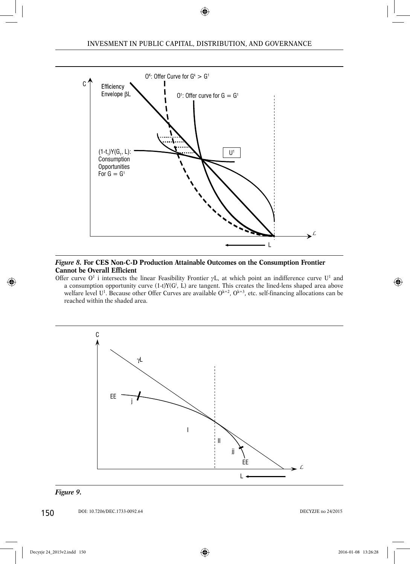

#### *Figure 8.* **For CES Non-C-D Production Attainable Outcomes on the Consumption Frontier Cannot be Overall Efficient**

Offer curve  $O^1$  i intersects the linear Feasibility Frontier  $\gamma$ L, at which point an indifference curve  $U^1$  and a consumption opportunity curve  $(1-t)Y(G^i, L)$  are tangent. This creates the lined-lens shaped area above welfare level U<sup>1</sup>. Because other Offer Curves are available  $O^{k=2}$ ,  $O^{k=3}$ , etc. self-financing allocations can be reached within the shaded area.



#### *Figure 9.*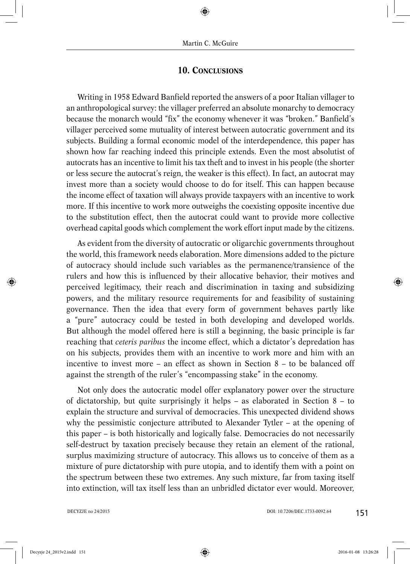## **10. CONCLUSIONS**

Writing in 1958 Edward Banfield reported the answers of a poor Italian villager to an anthropological survey: the villager preferred an absolute monarchy to democracy because the monarch would "fix" the economy whenever it was "broken." Banfield's villager perceived some mutuality of interest between autocratic government and its subjects. Building a formal economic model of the interdependence, this paper has shown how far reaching indeed this principle extends. Even the most absolutist of autocrats has an incentive to limit his tax theft and to invest in his people (the shorter or less secure the autocrat's reign, the weaker is this effect). In fact, an autocrat may invest more than a society would choose to do for itself. This can happen because the income effect of taxation will always provide taxpayers with an incentive to work more. If this incentive to work more outweighs the coexisting opposite incentive due to the substitution effect, then the autocrat could want to provide more collective overhead capital goods which complement the work effort input made by the citizens.

As evident from the diversity of autocratic or oligarchic governments throughout the world, this framework needs elaboration. More dimensions added to the picture of autocracy should include such variables as the permanence/transience of the rulers and how this is influenced by their allocative behavior, their motives and perceived legitimacy, their reach and discrimination in taxing and subsidizing powers, and the military resource requirements for and feasibility of sustaining governance. Then the idea that every form of government behaves partly like a "pure" autocracy could be tested in both developing and developed worlds. But although the model offered here is still a beginning, the basic principle is far reaching that *ceteris paribus* the income effect, which a dictator's depredation has on his subjects, provides them with an incentive to work more and him with an incentive to invest more – an effect as shown in Section 8 – to be balanced off against the strength of the ruler's "encompassing stake" in the economy.

Not only does the autocratic model offer explanatory power over the structure of dictatorship, but quite surprisingly it helps – as elaborated in Section  $8 -$  to explain the structure and survival of democracies. This unexpected dividend shows why the pessimistic conjecture attributed to Alexander Tytler – at the opening of this paper – is both historically and logically false. Democracies do not necessarily self-destruct by taxation precisely because they retain an element of the rational, surplus maximizing structure of autocracy. This allows us to conceive of them as a mixture of pure dictatorship with pure utopia, and to identify them with a point on the spectrum between these two extremes. Any such mixture, far from taxing itself into extinction, will tax itself less than an unbridled dictator ever would. Moreover,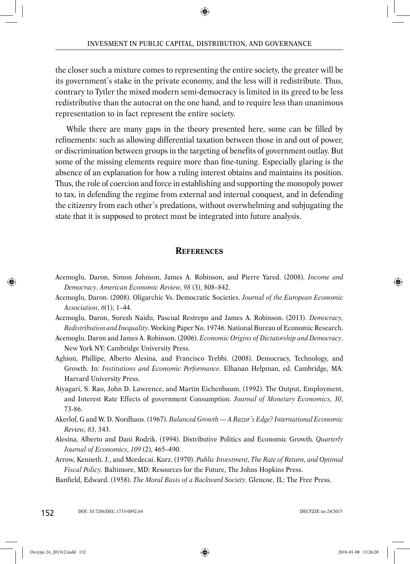the closer such a mixture comes to representing the entire society, the greater will be its government's stake in the private economy, and the less will it redistribute. Thus, contrary to Tytler the mixed modern semi-democracy is limited in its greed to be less redistributive than the autocrat on the one hand, and to require less than unanimous representation to in fact represent the entire society.

While there are many gaps in the theory presented here, some can be filled by refinements: such as allowing differential taxation between those in and out of power, or discrimination between groups in the targeting of benefits of government outlay. But some of the missing elements require more than fine-tuning. Especially glaring is the absence of an explanation for how a ruling interest obtains and maintains its position. Thus, the role of coercion and force in establishing and supporting the monopoly power to tax, in defending the regime from external and internal conquest, and in defending the citizenry from each other's predations, without overwhelming and subjugating the state that it is supposed to protect must be integrated into future analysis.

## **REFERENCES**

- Acemoglu, Daron, Simon Johnson, James A. Robinson, and Pierre Yared. (2008). *Income and Democracy. American Economic Review, 98* (3), 808–842.
- Acemoglu, Daron. (2008). Oligarchic Vs. Democratic Societies. *Journal of the European Economic Association, 6*(1), 1–44.
- Acemoglu, Daron, Suresh Naidu, Pascual Restrepo and James A. Robinson. (2013). *Democracy, Redistribution and Inequality*. Working Paper No. 19746*.* National Bureau of Economic Research.
- Acemoglu, Daron and James A. Robinson. (2006). *Economic Origins of Dictatorship and Democracy*. New York NY: Cambridge University Press.
- Aghion, Phillipe, Alberto Alesina, and Francisco Trebbi. (2008). Democracy, Technology, and Growth. In: *Institutions and Economic Performance*. Elhanan Helpman, ed. Cambridge, MA: Harvard University Press.
- Aiyagari, S. Rao, John D. Lawrence, and Martin Eichenbaum. (1992). The Output, Employment, and Interest Rate Effects of government Consumption. *Journal of Monetary Economics, 30*, 73-86.
- Akerlof, G and W. D. Nordhaus. (1967). *Balanced Growth --- A Razor's Edge? International Economic Review, 83*, 343.
- Alesina, Alberto and Dani Rodrik. (1994). Distributive Politics and Economic Growth*. Quarterly Journal of Economics, 109* (2), 465–490.
- Arrow, Kenneth. J., and Mordecai. Kurz. (1970). *Public Investment, The Rate of Return, and Optimal Fiscal Policy.* Baltimore, MD: Resources for the Future, The Johns Hopkins Press.
- Banfield, Edward. (1958). *The Moral Basis of a Backward Society.* Glencoe, IL: The Free Press.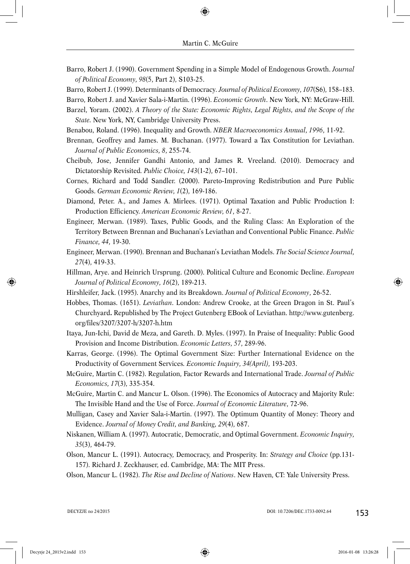- Barro, Robert J. (1990). Government Spending in a Simple Model of Endogenous Growth. *Journal of Political Economy, 98*(5, Part 2), S103-25.
- Barro, Robert J. (1999). Determinants of Democracy*. Journal of Political Economy, 107*(S6), 158–183.
- Barro, Robert J. and Xavier Sala-i-Martin. (1996). *Economic Growth*. New York, NY: McGraw-Hill.
- Barzel, Yoram. (2002). *A Theory of the State: Economic Rights, Legal Rights, and the Scope of the State.* New York, NY, Cambridge University Press.
- Benabou, Roland. (1996). Inequality and Growth. *NBER Macroeconomics Annual, 1996*, 11-92.
- Brennan, Geoffrey and James. M. Buchanan. (1977). Toward a Tax Constitution for Leviathan. *Journal of Public Economics, 8*, 255-74.
- Cheibub, Jose, Jennifer Gandhi Antonio, and James R. Vreeland. (2010). Democracy and Dictatorship Revisited*. Public Choice, 143*(1-2), 67–101.
- Cornes, Richard and Todd Sandler. (2000). Pareto-Improving Redistribution and Pure Public Goods. *German Economic Review, 1*(2), 169-186.
- Diamond, Peter. A., and James A. Mirlees. (1971). Optimal Taxation and Public Production I: Production Efficiency. *American Economic Review, 61*, 8-27.
- Engineer, Merwan. (1989). Taxes, Public Goods, and the Ruling Class: An Exploration of the Territory Between Brennan and Buchanan's Leviathan and Conventional Public Finance. *Public Finance, 44*, 19-30.
- Engineer, Merwan. (1990). Brennan and Buchanan's Leviathan Models. *The Social Science Journal, 27*(4), 419-33.
- Hillman, Arye. and Heinrich Ursprung. (2000). Political Culture and Economic Decline. *European Journal of Political Economy, 16*(2), 189-213.
- Hirshleifer, Jack. (1995). Anarchy and its Breakdown. *Journal of Political Economy*, 26-52.
- Hobbes, Thomas. (1651). *Leviathan*. London: Andrew Crooke, at the Green Dragon in St. Paul's Churchyard**.** Republished by The Project Gutenberg EBook of Leviathan. http://www.gutenberg. org/files/3207/3207-h/3207-h.htm
- Itaya, Jun-Ichi, David de Meza, and Gareth. D. Myles. (1997). In Praise of Inequality: Public Good Provision and Income Distribution. *Economic Letters, 57*, 289-96.
- Karras, George. (1996). The Optimal Government Size: Further International Evidence on the Productivity of Government Services*. Economic Inquiry, 34(April)*, 193-203.
- McGuire, Martin C. (1982). Regulation, Factor Rewards and International Trade. *Journal of Public Economics, 17*(3), 335-354.
- McGuire, Martin C. and Mancur L. Olson. (1996). The Economics of Autocracy and Majority Rule: The Invisible Hand and the Use of Force. *Journal of Economic Literature*, 72-96.
- Mulligan, Casey and Xavier Sala-i-Martin. (1997). The Optimum Quantity of Money: Theory and Evidence. *Journal of Money Credit, and Banking, 29*(4), 687.
- Niskanen, William A. (1997). Autocratic, Democratic, and Optimal Government. *Economic Inquiry, 35*(3), 464-79.
- Olson, Mancur L. (1991). Autocracy, Democracy, and Prosperity. In: *Strategy and Choice* (pp.131- 157). Richard J. Zeckhauser, ed. Cambridge, MA: The MIT Press.
- Olson, Mancur L. (1982). *The Rise and Decline of Nations*. New Haven, CT: Yale University Press.